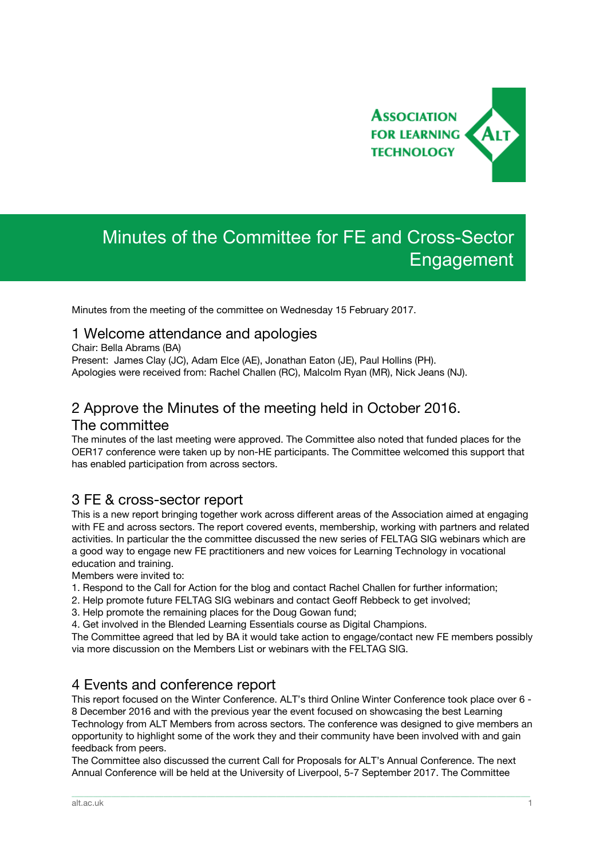

# Minutes of the Committee for FE and Cross-Sector Engagement

Minutes from the meeting of the committee on Wednesday 15 February 2017.

#### 1 Welcome attendance and apologies

Chair: Bella Abrams (BA)

Present: James Clay (JC), Adam Elce (AE), Jonathan Eaton (JE), Paul Hollins (PH). Apologies were received from: Rachel Challen (RC), Malcolm Ryan (MR), Nick Jeans (NJ).

## 2 Approve the Minutes of the meeting held in October 2016. The committee

The minutes of the last meeting were approved. The Committee also noted that funded places for the OER17 conference were taken up by non-HE participants. The Committee welcomed this support that has enabled participation from across sectors.

#### 3 FE & cross-sector report

This is a new report bringing together work across different areas of the Association aimed at engaging with FE and across sectors. The report covered events, membership, working with partners and related activities. In particular the the committee discussed the new series of FELTAG SIG webinars which are a good way to engage new FE practitioners and new voices for Learning Technology in vocational education and training.

Members were invited to:

- 1. Respond to the Call for Action for the blog and contact Rachel Challen for further information;
- 2. Help promote future FELTAG SIG webinars and contact Geoff Rebbeck to get involved;
- 3. Help promote the remaining places for the Doug Gowan fund;
- 4. Get involved in the Blended Learning Essentials course as Digital Champions.

The Committee agreed that led by BA it would take action to engage/contact new FE members possibly via more discussion on the Members List or webinars with the FELTAG SIG.

#### 4 Events and conference report

This report focused on the Winter Conference. ALT's third Online Winter Conference took place over 6 - 8 December 2016 and with the previous year the event focused on showcasing the best Learning Technology from ALT Members from across sectors. The conference was designed to give members an opportunity to highlight some of the work they and their community have been involved with and gain feedback from peers.

The Committee also discussed the current Call for Proposals for ALT's Annual Conference. The next Annual Conference will be held at the University of Liverpool, 5-7 September 2017. The Committee

\_\_\_\_\_\_\_\_\_\_\_\_\_\_\_\_\_\_\_\_\_\_\_\_\_\_\_\_\_\_\_\_\_\_\_\_\_\_\_\_\_\_\_\_\_\_\_\_\_\_\_\_\_\_\_\_\_\_\_\_\_\_\_\_\_\_\_\_\_\_\_\_\_\_\_\_\_\_\_\_\_\_\_\_\_\_\_\_\_\_\_\_\_\_\_\_\_\_\_\_\_\_\_\_\_\_\_\_\_\_\_\_\_\_\_\_\_\_\_\_\_\_\_\_\_\_\_\_\_\_\_\_\_\_\_\_\_\_\_\_\_\_\_\_\_\_\_\_\_\_